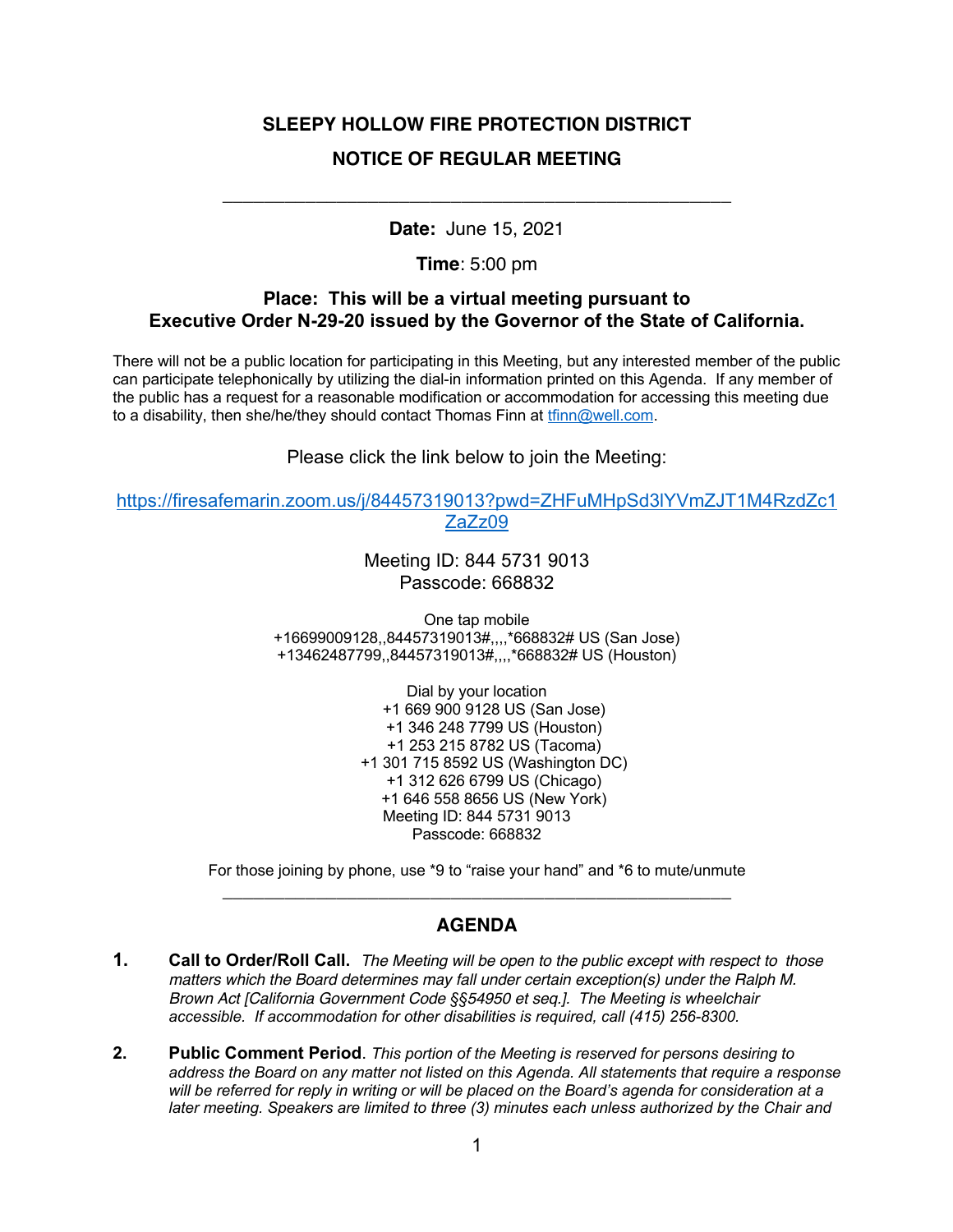# **SLEEPY HOLLOW FIRE PROTECTION DISTRICT NOTICE OF REGULAR MEETING**

**Date:** June 15, 2021

\_\_\_\_\_\_\_\_\_\_\_\_\_\_\_\_\_\_\_\_\_\_\_\_\_\_\_\_\_\_\_\_\_\_\_\_\_\_\_\_\_\_\_\_\_\_\_\_\_

**Time**: 5:00 pm

#### **Place: This will be a virtual meeting pursuant to Executive Order N-29-20 issued by the Governor of the State of California.**

There will not be a public location for participating in this Meeting, but any interested member of the public can participate telephonically by utilizing the dial-in information printed on this Agenda. If any member of the public has a request for a reasonable modification or accommodation for accessing this meeting due to a disability, then she/he/they should contact Thomas Finn at tfinn@well.com.

Please click the link below to join the Meeting:

https://firesafemarin.zoom.us/j/84457319013?pwd=ZHFuMHpSd3lYVmZJT1M4RzdZc1 ZaZz09

> Meeting ID: 844 5731 9013 Passcode: 668832

One tap mobile +16699009128,,84457319013#,,,,\*668832# US (San Jose) +13462487799,,84457319013#,,,,\*668832# US (Houston)

> Dial by your location +1 669 900 9128 US (San Jose) +1 346 248 7799 US (Houston) +1 253 215 8782 US (Tacoma) +1 301 715 8592 US (Washington DC) +1 312 626 6799 US (Chicago) +1 646 558 8656 US (New York) Meeting ID: 844 5731 9013 Passcode: 668832

For those joining by phone, use \*9 to "raise your hand" and \*6 to mute/unmute \_\_\_\_\_\_\_\_\_\_\_\_\_\_\_\_\_\_\_\_\_\_\_\_\_\_\_\_\_\_\_\_\_\_\_\_\_\_\_\_\_\_\_\_\_\_\_\_\_

## **AGENDA**

- **1. Call to Order/Roll Call.** *The Meeting will be open to the public except with respect to those matters which the Board determines may fall under certain exception(s) under the Ralph M. Brown Act [California Government Code §§54950 et seq.]. The Meeting is wheelchair accessible. If accommodation for other disabilities is required, call (415) 256-8300.*
- **2. Public Comment Period**. *This portion of the Meeting is reserved for persons desiring to address the Board on any matter not listed on this Agenda. All statements that require a response will be referred for reply in writing or will be placed on the Board's agenda for consideration at a later meeting. Speakers are limited to three (3) minutes each unless authorized by the Chair and*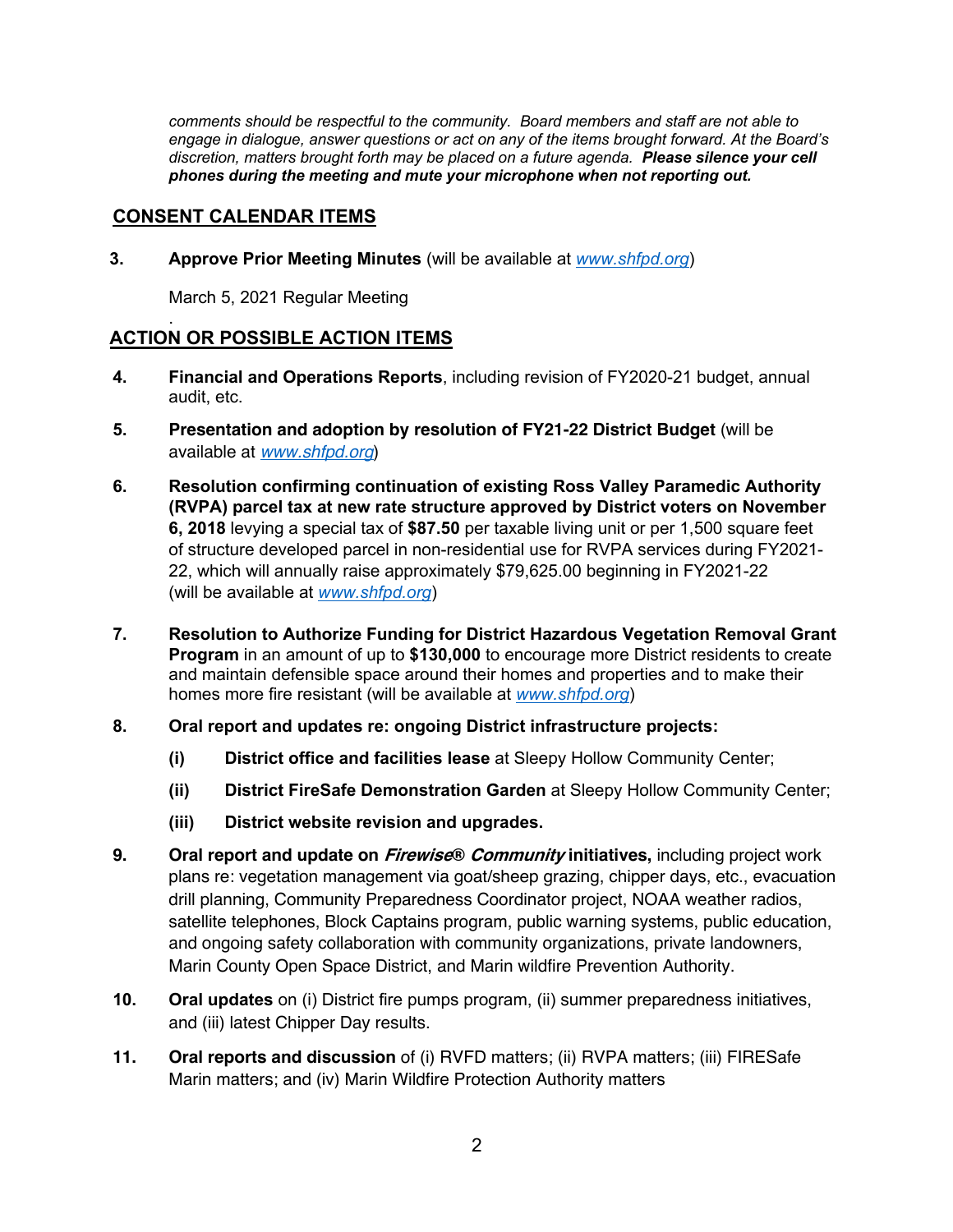*comments should be respectful to the community. Board members and staff are not able to engage in dialogue, answer questions or act on any of the items brought forward. At the Board's discretion, matters brought forth may be placed on a future agenda. Please silence your cell phones during the meeting and mute your microphone when not reporting out.*

### **CONSENT CALENDAR ITEMS**

.

**3. Approve Prior Meeting Minutes** (will be available at *www.shfpd.org*)

March 5, 2021 Regular Meeting

### **ACTION OR POSSIBLE ACTION ITEMS**

- **4. Financial and Operations Reports**, including revision of FY2020-21 budget, annual audit, etc.
- **5. Presentation and adoption by resolution of FY21-22 District Budget** (will be available at *www.shfpd.org*)
- **6. Resolution confirming continuation of existing Ross Valley Paramedic Authority (RVPA) parcel tax at new rate structure approved by District voters on November 6, 2018** levying a special tax of **\$87.50** per taxable living unit or per 1,500 square feet of structure developed parcel in non-residential use for RVPA services during FY2021- 22, which will annually raise approximately \$79,625.00 beginning in FY2021-22 (will be available at *www.shfpd.org*)
- **7. Resolution to Authorize Funding for District Hazardous Vegetation Removal Grant Program** in an amount of up to **\$130,000** to encourage more District residents to create and maintain defensible space around their homes and properties and to make their homes more fire resistant (will be available at *www.shfpd.org*)
- **8. Oral report and updates re: ongoing District infrastructure projects:**
	- **(i) District office and facilities lease** at Sleepy Hollow Community Center;
	- **(ii) District FireSafe Demonstration Garden** at Sleepy Hollow Community Center;
	- **(iii) District website revision and upgrades.**
- **9. Oral report and update on Firewise® Community initiatives,** including project work plans re: vegetation management via goat/sheep grazing, chipper days, etc., evacuation drill planning, Community Preparedness Coordinator project, NOAA weather radios, satellite telephones, Block Captains program, public warning systems, public education, and ongoing safety collaboration with community organizations, private landowners, Marin County Open Space District, and Marin wildfire Prevention Authority.
- **10. Oral updates** on (i) District fire pumps program, (ii) summer preparedness initiatives, and (iii) latest Chipper Day results.
- **11. Oral reports and discussion** of (i) RVFD matters; (ii) RVPA matters; (iii) FIRESafe Marin matters; and (iv) Marin Wildfire Protection Authority matters